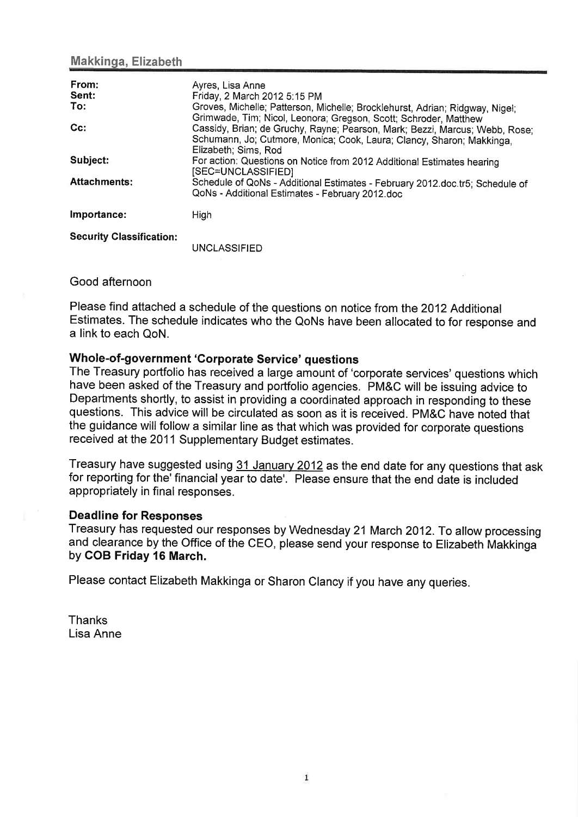| From:<br>Sent:<br>To:           | Ayres, Lisa Anne<br>Friday, 2 March 2012 5:15 PM<br>Groves, Michelle; Patterson, Michelle; Brocklehurst, Adrian; Ridgway, Nigel;<br>Grimwade, Tim; Nicol, Leonora; Gregson, Scott; Schroder, Matthew |
|---------------------------------|------------------------------------------------------------------------------------------------------------------------------------------------------------------------------------------------------|
| Cc:                             | Cassidy, Brian; de Gruchy, Rayne; Pearson, Mark; Bezzi, Marcus; Webb, Rose;<br>Schumann, Jo; Cutmore, Monica; Cook, Laura; Clancy, Sharon; Makkinga,<br>Elizabeth; Sims, Rod                         |
| Subject:                        | For action: Questions on Notice from 2012 Additional Estimates hearing<br>[SEC=UNCLASSIFIED]                                                                                                         |
| <b>Attachments:</b>             | Schedule of QoNs - Additional Estimates - February 2012.doc.tr5; Schedule of<br>QoNs - Additional Estimates - February 2012.doc                                                                      |
| Importance:                     | High                                                                                                                                                                                                 |
| <b>Security Classification:</b> | UNCLASSIFIED                                                                                                                                                                                         |

## Good afternoon

Please find attached a schedule of the questions on notice from the 2012 Additional Estimates. The schedule indicates who the QoNs have been allocated to for response and a link to each QoN.

## Whole-of-government 'Corporate Service' questions

The Treasury portfolio has received a large amount of 'corporate services' questions which have been asked of the Treasury and portfolio agencies. PM&C will be issuing advice to Departments shortly, to assist in providing a coordinated approach in responding to these questions. This advice will be circulated as soon as it is received. PM&C have noted that the guidance will follow a similar line as that which was provided for corporate questions received at the 2011 Supplementary Budget estimates.

Treasury have suggested using 31 January 2012 as the end date for any questions that ask for reporting for the' financial year to date'. Please ensure that the end date is included appropriately in final responses.

## Deadline for Responses

Treasury has requested our responses by Wednesday 21 March 2012. To allow processing and clearance by the Office of the CEO, please send your response to Elizabeth Makkinga by COB Friday 16 March.

Please contact Elizabeth Makkinga or Sharon Clancy if you have any queries.

Thanks Lisa Anne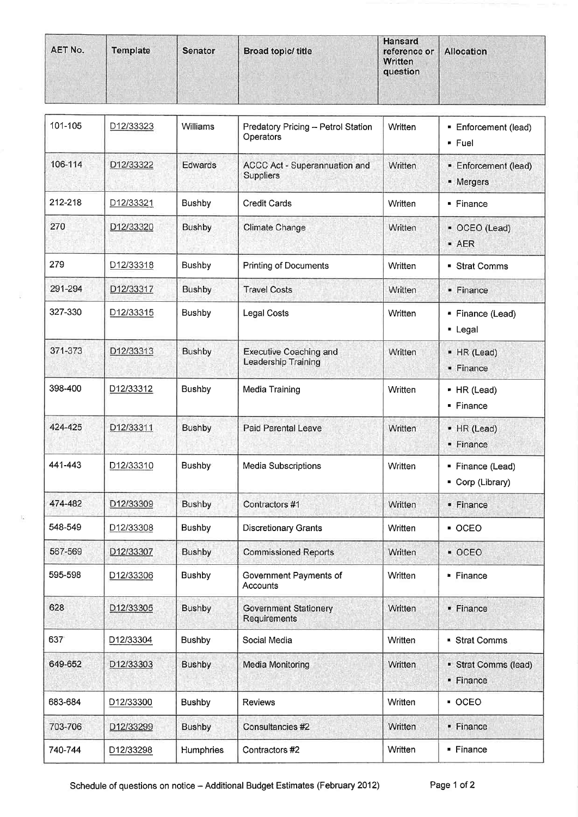| AET No. | Template | Senator | Broad topic/ title | Hansard<br>reference or<br>Written | Allocation |
|---------|----------|---------|--------------------|------------------------------------|------------|
|         |          |         |                    | question                           |            |
|         |          |         |                    |                                    |            |

| 101-105 | D12/33323 | <b>Williams</b>  | Predatory Pricing - Petrol Station<br>Operators      | Written | • Enforcement (lead)<br>• Fuel     |
|---------|-----------|------------------|------------------------------------------------------|---------|------------------------------------|
| 106-114 | D12/33322 | Edwards          | ACCC Act - Superannuation and<br>Suppliers           | Written | · Enforcement (lead)<br>· Mergers  |
| 212-218 | D12/33321 | Bushby           | <b>Credit Cards</b>                                  | Written | $\blacksquare$ Finance             |
| 270     | D12/33320 | <b>Bushby</b>    | Climate Change                                       | Written | • OCEO (Lead)<br>· AER             |
| 279     | D12/33318 | <b>Bushby</b>    | <b>Printing of Documents</b>                         | Written | Strat Comms                        |
| 291-294 | D12/33317 | Bushby           | <b>Travel Costs</b>                                  | Written | • Finance                          |
| 327-330 | D12/33315 | Bushby           | <b>Legal Costs</b>                                   | Written | · Finance (Lead)<br>• Legal        |
| 371-373 | D12/33313 | <b>Bushby</b>    | <b>Executive Coaching and</b><br>Leadership Training | Written | • HR (Lead)<br>· Finance           |
| 398-400 | D12/33312 | <b>Bushby</b>    | Media Training                                       | Written | ■ HR (Lead)<br>• Finance           |
| 424-425 | D12/33311 | Bushby           | Paid Parental Leave                                  | Written | • HR (Lead)<br>• Finance           |
| 441-443 | D12/33310 | <b>Bushby</b>    | Media Subscriptions                                  | Written | • Finance (Lead)<br>Corp (Library) |
| 474-482 | D12/33309 | Bushby           | Contractors #1                                       | Written | • Finance                          |
| 548-549 | D12/33308 | <b>Bushby</b>    | <b>Discretionary Grants</b>                          | Written | $\overline{\phantom{a}}$ OCEO      |
| 567-569 | D12/33307 | Bushby           | <b>Commissioned Reports</b>                          | Written | · OCEO                             |
| 595-598 | D12/33306 | <b>Bushby</b>    | Government Payments of<br>Accounts                   | Written | - Finance                          |
| 628     | D12/33305 | <b>Bushby</b>    | <b>Government Stationery</b><br>Requirements         | Written | · Finance                          |
| 637     | D12/33304 | <b>Bushby</b>    | Social Media                                         | Written | Strat Comms                        |
| 649-652 | D12/33303 | <b>Bushby</b>    | <b>Media Monitoring</b>                              | Written | · Strat Comms (lead)<br>· Finance  |
| 683-684 | D12/33300 | <b>Bushby</b>    | <b>Reviews</b>                                       | Written | ■ OCEO                             |
| 703-706 | D12/33299 | <b>Bushby</b>    | Consultancies #2                                     | Written | • Finance                          |
| 740-744 | D12/33298 | <b>Humphries</b> | Contractors #2                                       | Written | • Finance                          |

IS.